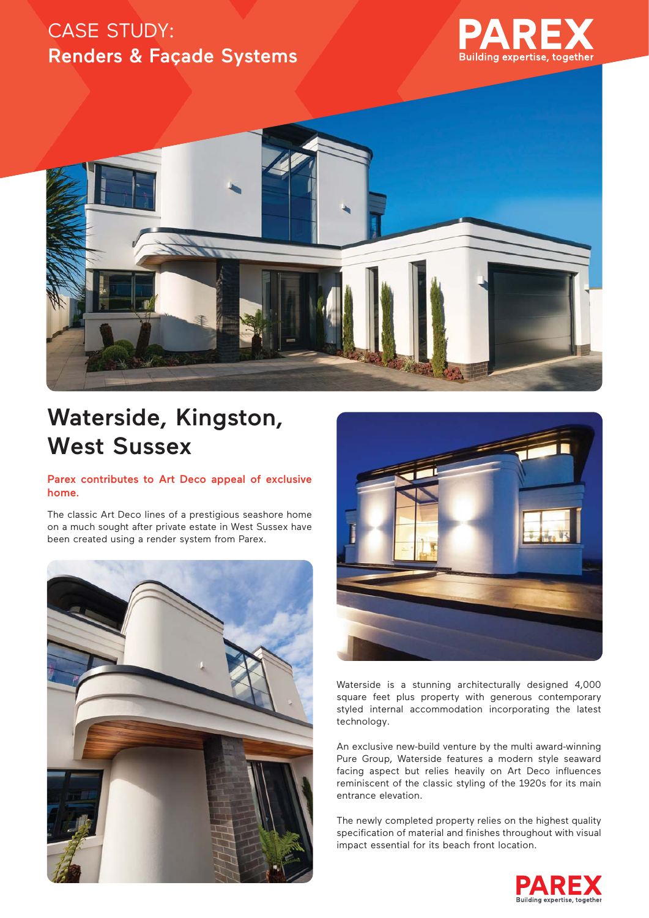## CASE STUDY: Renders & Façade Systems





# Waterside, Kingston, West Sussex

#### Parex contributes to Art Deco appeal of exclusive home.

The classic Art Deco lines of a prestigious seashore home on a much sought after private estate in West Sussex have been created using a render system from Parex.





Waterside is a stunning architecturally designed 4,000 square feet plus property with generous contemporary styled internal accommodation incorporating the latest technology.

An exclusive new-build venture by the multi award-winning Pure Group, Waterside features a modern style seaward facing aspect but relies heavily on Art Deco influences reminiscent of the classic styling of the 1920s for its main entrance elevation.

The newly completed property relies on the highest quality specification of material and finishes throughout with visual impact essential for its beach front location.